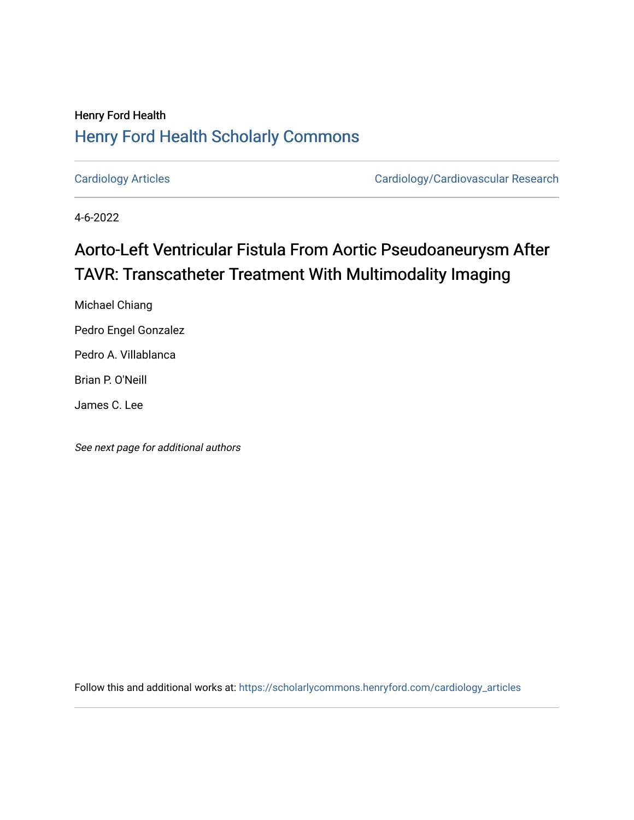## Henry Ford Health [Henry Ford Health Scholarly Commons](https://scholarlycommons.henryford.com/)

[Cardiology Articles](https://scholarlycommons.henryford.com/cardiology_articles) [Cardiology/Cardiovascular Research](https://scholarlycommons.henryford.com/cardiology) 

4-6-2022

# Aorto-Left Ventricular Fistula From Aortic Pseudoaneurysm After TAVR: Transcatheter Treatment With Multimodality Imaging

Michael Chiang Pedro Engel Gonzalez Pedro A. Villablanca Brian P. O'Neill

James C. Lee

See next page for additional authors

Follow this and additional works at: [https://scholarlycommons.henryford.com/cardiology\\_articles](https://scholarlycommons.henryford.com/cardiology_articles?utm_source=scholarlycommons.henryford.com%2Fcardiology_articles%2F922&utm_medium=PDF&utm_campaign=PDFCoverPages)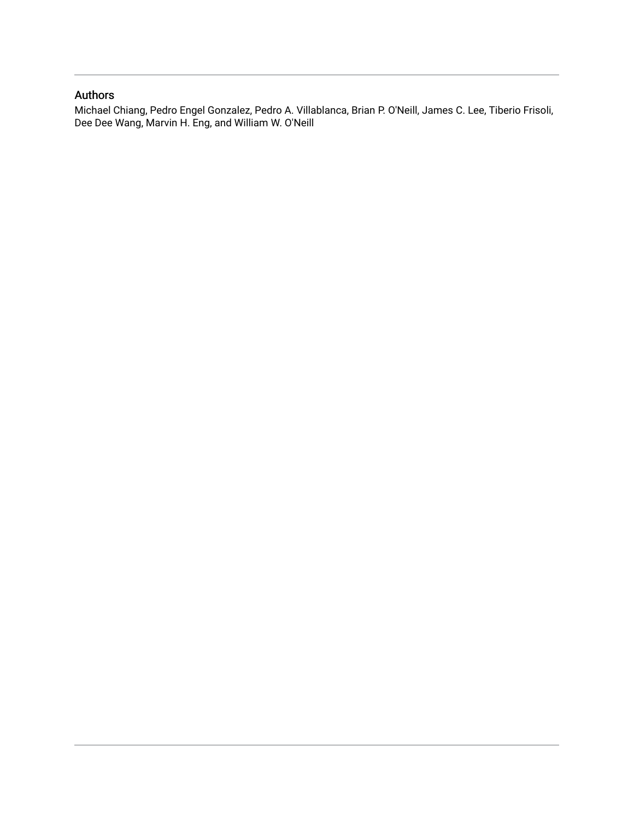### Authors

Michael Chiang, Pedro Engel Gonzalez, Pedro A. Villablanca, Brian P. O'Neill, James C. Lee, Tiberio Frisoli, Dee Dee Wang, Marvin H. Eng, and William W. O'Neill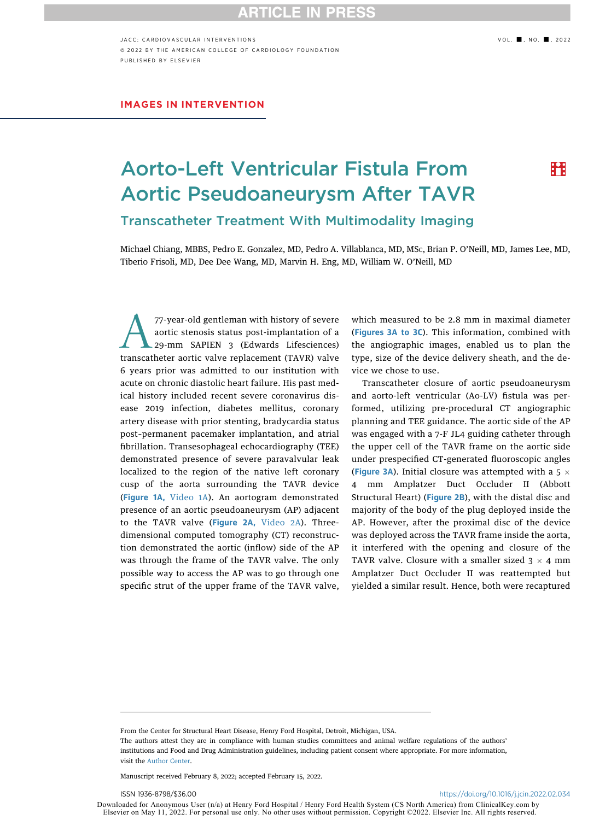## **RTICLE IN PRESS**

JACC: CARDIOVASCULAR INTERVENTIONS (2002) 2003 - 2022 ª 2022 BY THE AMERICAN COLLEGE OF CARDIOLOGY FOUNDATION PUBLISHED BY ELSEVIER

#### IMAGES IN INTERVENTION

## Aorto-Left Ventricular Fistula From Aortic Pseudoaneurysm After TAVR Transcatheter Treatment With Multimodality Imaging

**:A:** 

Michael Chiang, MBBS, Pedro E. Gonzalez, MD, Pedro A. Villablanca, MD, MSC, Brian P. O'Neill, MD, James Lee, MD, Tiberio Frisoli, MD, Dee Dee Wang, MD, Marvin H. Eng, MD, William W. O'Neill, MD

T7-year-old gentleman with history of severe<br>
aortic stenosis status post-implantation of a<br>
29-mm SAPIEN 3 (Edwards Lifesciences)<br>
transcatheter aortic valve replacement (TAVR) valve aortic stenosis status post-implantation of a 29-mm SAPIEN 3 (Edwards Lifesciences) 6 years prior was admitted to our institution with acute on chronic diastolic heart failure. His past medical history included recent severe coronavirus disease 2019 infection, diabetes mellitus, coronary artery disease with prior stenting, bradycardia status post–permanent pacemaker implantation, and atrial fibrillation. Transesophageal echocardiography (TEE) demonstrated presence of severe paravalvular leak localized to the region of the native left coronary cusp of the aorta surrounding the TAVR device ([Figure 1A,](#page-3-0) [Video 1A](https://doi.org/10.1016/j.jcin.2022.02.034)). An aortogram demonstrated presence of an aortic pseudoaneurysm (AP) adjacent to the TAVR valve ([Figure 2A,](#page-3-1) [Video 2A\)](https://doi.org/10.1016/j.jcin.2022.02.034). Threedimensional computed tomography (CT) reconstruction demonstrated the aortic (inflow) side of the AP was through the frame of the TAVR valve. The only possible way to access the AP was to go through one specific strut of the upper frame of the TAVR valve,

which measured to be 2.8 mm in maximal diameter ([Figures 3A](#page-4-0) to [3C](#page-4-0)). This information, combined with the angiographic images, enabled us to plan the type, size of the device delivery sheath, and the device we chose to use.

Transcatheter closure of aortic pseudoaneurysm and aorto-left ventricular (Ao-LV) fistula was performed, utilizing pre-procedural CT angiographic planning and TEE guidance. The aortic side of the AP was engaged with a 7-F JL4 guiding catheter through the upper cell of the TAVR frame on the aortic side under prespecified CT-generated fluoroscopic angles ([Figure 3A](#page-4-0)). Initial closure was attempted with a  $5 \times$ 4 mm Amplatzer Duct Occluder II (Abbott Structural Heart) ([Figure 2B](#page-3-1)), with the distal disc and majority of the body of the plug deployed inside the AP. However, after the proximal disc of the device was deployed across the TAVR frame inside the aorta, it interfered with the opening and closure of the TAVR valve. Closure with a smaller sized  $3 \times 4$  mm Amplatzer Duct Occluder II was reattempted but yielded a similar result. Hence, both were recaptured

From the Center for Structural Heart Disease, Henry Ford Hospital, Detroit, Michigan, USA.

The authors attest they are in compliance with human studies committees and animal welfare regulations of the authors' institutions and Food and Drug Administration guidelines, including patient consent where appropriate. For more information, visit the [Author Center](https://www.jacc.org/author-center).

Manuscript received February 8, 2022; accepted February 15, 2022.

ISSN 1936-8798/\$36.00 <https://doi.org/10.1016/j.jcin.2022.02.034>

Downloaded for Anonymous User (n/a) at Henry Ford Hospital / Henry Ford Health System (CS North America) from ClinicalKey.com by Elsevier on May 11, 2022. For personal use only. No other uses without permission. Copyright ©2022. Elsevier Inc. All rights reserved.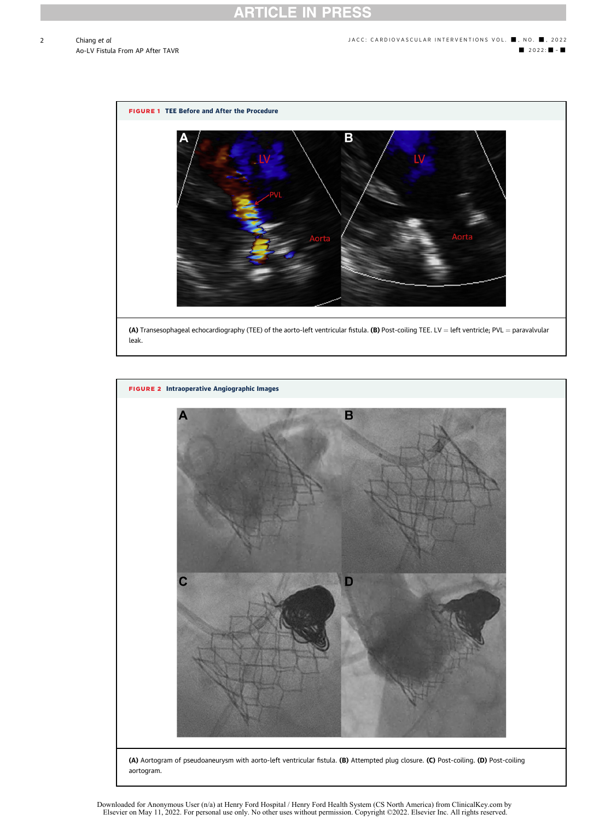2

<span id="page-3-0"></span>

<span id="page-3-1"></span>

Downloaded for Anonymous User (n/a) at Henry Ford Hospital / Henry Ford Health System (CS North America) from ClinicalKey.com by<br>Elsevier on May 11, 2022. For personal use only. No other uses without permission. Copyright